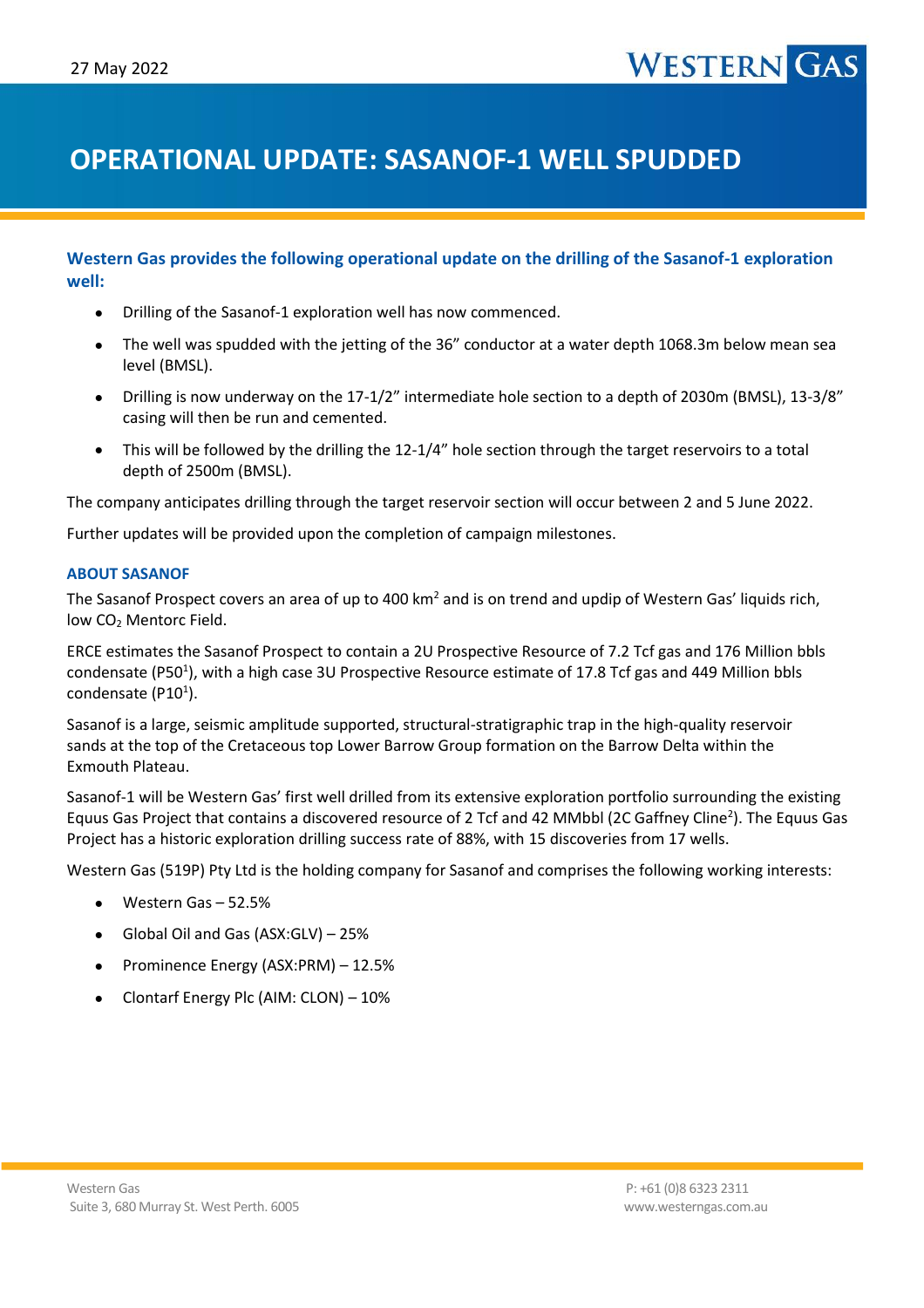### **OPERATIONAL UPDATE: SASANOF-1 WELL SPUDDED**

#### **Western Gas provides the following operational update on the drilling of the Sasanof-1 exploration well:**

- Drilling of the Sasanof-1 exploration well has now commenced.
- The well was spudded with the jetting of the 36" conductor at a water depth 1068.3m below mean sea level (BMSL).
- Drilling is now underway on the 17-1/2" intermediate hole section to a depth of 2030m (BMSL), 13-3/8" casing will then be run and cemented.
- This will be followed by the drilling the 12-1/4" hole section through the target reservoirs to a total depth of 2500m (BMSL).

The company anticipates drilling through the target reservoir section will occur between 2 and 5 June 2022.

Further updates will be provided upon the completion of campaign milestones.

#### **ABOUT SASANOF**

The Sasanof Prospect covers an area of up to 400 km<sup>2</sup> and is on trend and updip of Western Gas' liquids rich, low CO<sub>2</sub> Mentorc Field.

ERCE estimates the Sasanof Prospect to contain a 2U Prospective Resource of 7.2 Tcf gas and 176 Million bbls condensate (P50<sup>1</sup>), with a high case 3U Prospective Resource estimate of 17.8 Tcf gas and 449 Million bbls condensate (P10<sup>1</sup>).

Sasanof is a large, seismic amplitude supported, structural-stratigraphic trap in the high-quality reservoir sands at the top of the Cretaceous top Lower Barrow Group formation on the Barrow Delta within the Exmouth Plateau.

Sasanof-1 will be Western Gas' first well drilled from its extensive exploration portfolio surrounding the existing Equus Gas Project that contains a discovered resource of 2 Tcf and 42 MMbbl (2C Gaffney Cline<sup>2</sup>). The Equus Gas Project has a historic exploration drilling success rate of 88%, with 15 discoveries from 17 wells.

Western Gas (519P) Pty Ltd is the holding company for Sasanof and comprises the following working interests:

- Western Gas 52.5%
- Global Oil and Gas (ASX:GLV) 25%
- Prominence Energy (ASX:PRM) 12.5%
- Clontarf Energy Plc (AIM: CLON) 10%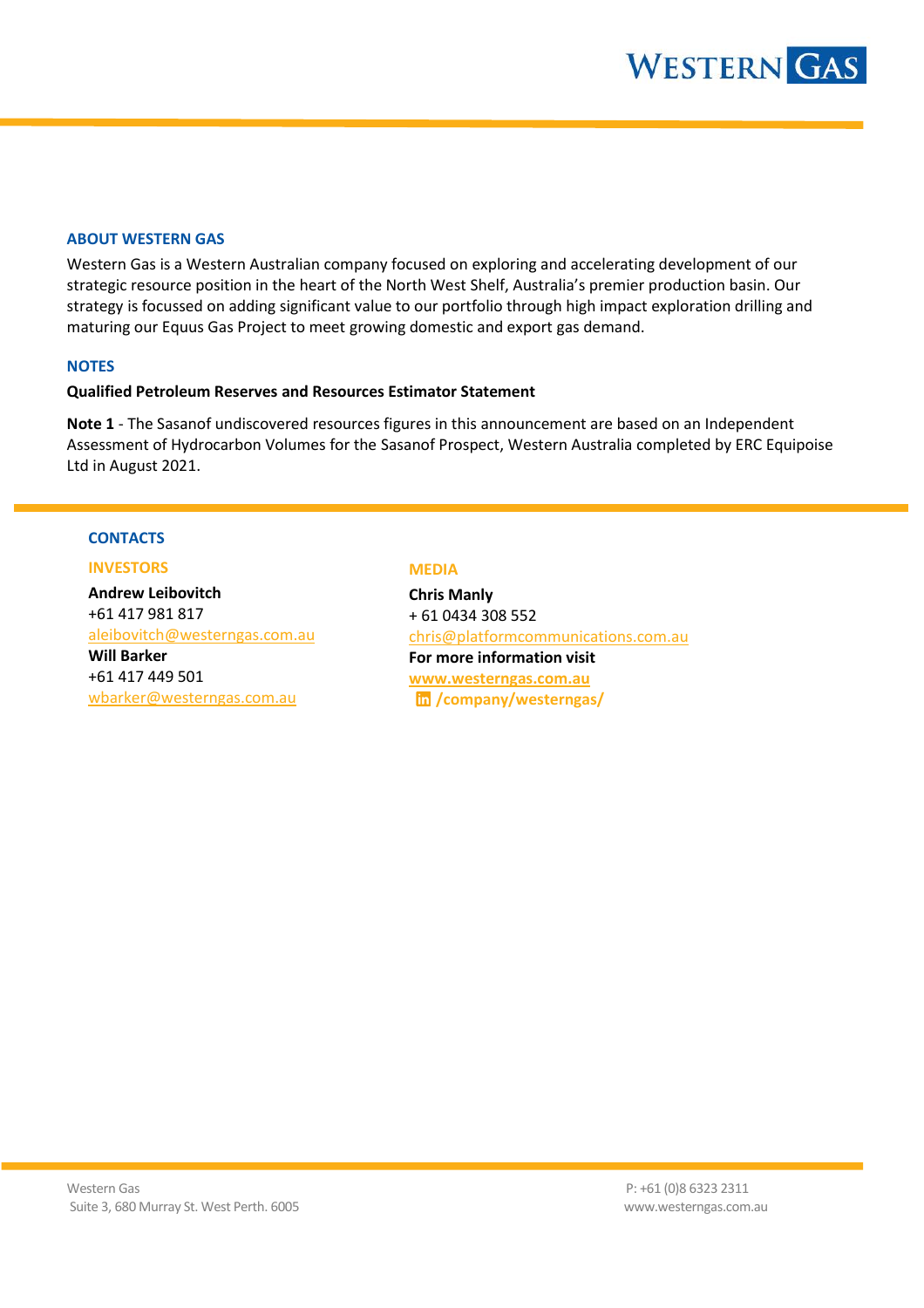#### **ABOUT WESTERN GAS**

Western Gas is a Western Australian company focused on exploring and accelerating development of our strategic resource position in the heart of the North West Shelf, Australia's premier production basin. Our strategy is focussed on adding significant value to our portfolio through high impact exploration drilling and maturing our Equus Gas Project to meet growing domestic and export gas demand.

#### **NOTES**

#### **Qualified Petroleum Reserves and Resources Estimator Statement**

**Note 1** - The Sasanof undiscovered resources figures in this announcement are based on an Independent Assessment of Hydrocarbon Volumes for the Sasanof Prospect, Western Australia completed by ERC Equipoise Ltd in August 2021.

#### **CONTACTS**

#### **INVESTORS**

**Andrew Leibovitch** +61 417 981 817 [aleibovitch@westerngas.com.au](mailto:aleibovitch@westerngas.com.au) **Will Barker** +61 417 449 501 [wbarker@westerngas.com.au](mailto:wbarker@westerngas.com.au)

#### **MEDIA**

**Chris Manly** + 61 0434 308 552 [chris@platformcommunications.com.au](mailto:chris@platformcommunications.com.au)  **For more information visit [www.westerngas.com.au](http://www.westerngas.com.au/) /company/westerngas/**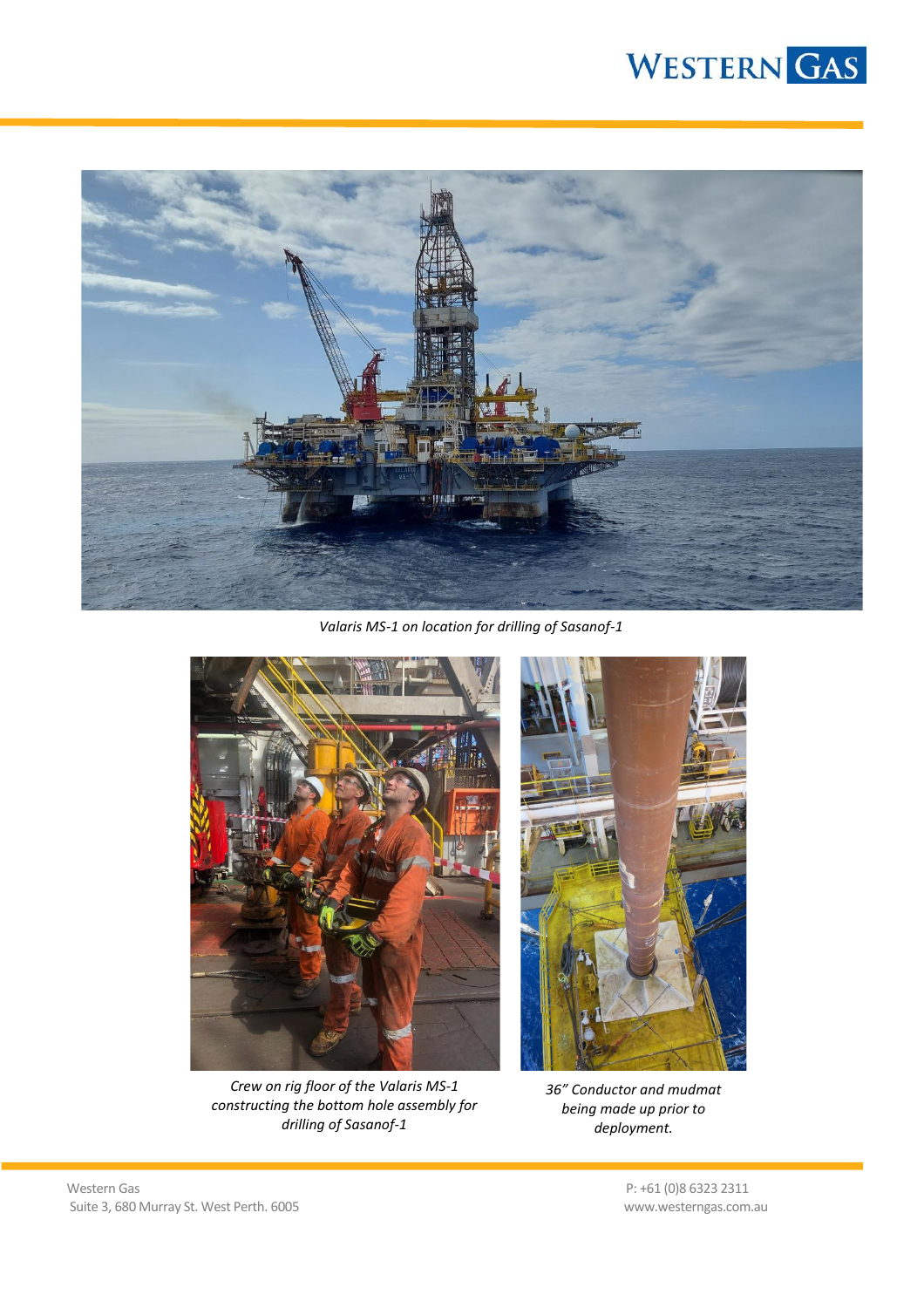# WESTERN GAS



*Valaris MS-1 on location for drilling of Sasanof-1*



*Crew on rig floor of the Valaris MS-1 constructing the bottom hole assembly for drilling of Sasanof-1*



*36" Conductor and mudmat being made up prior to deployment.*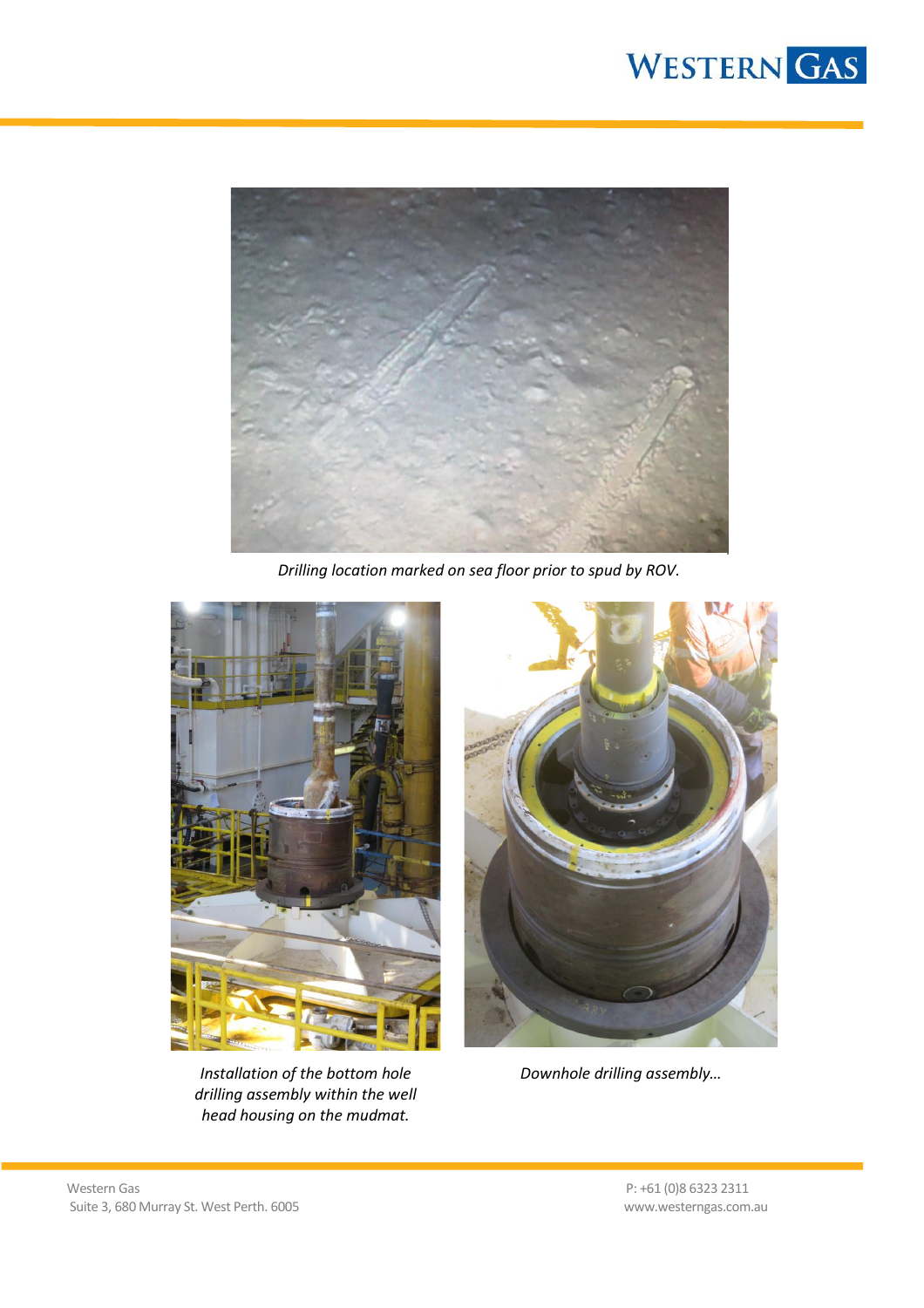



*Drilling location marked on sea floor prior to spud by ROV.*



*Installation of the bottom hole drilling assembly within the well head housing on the mudmat.*



*Downhole drilling assembly…*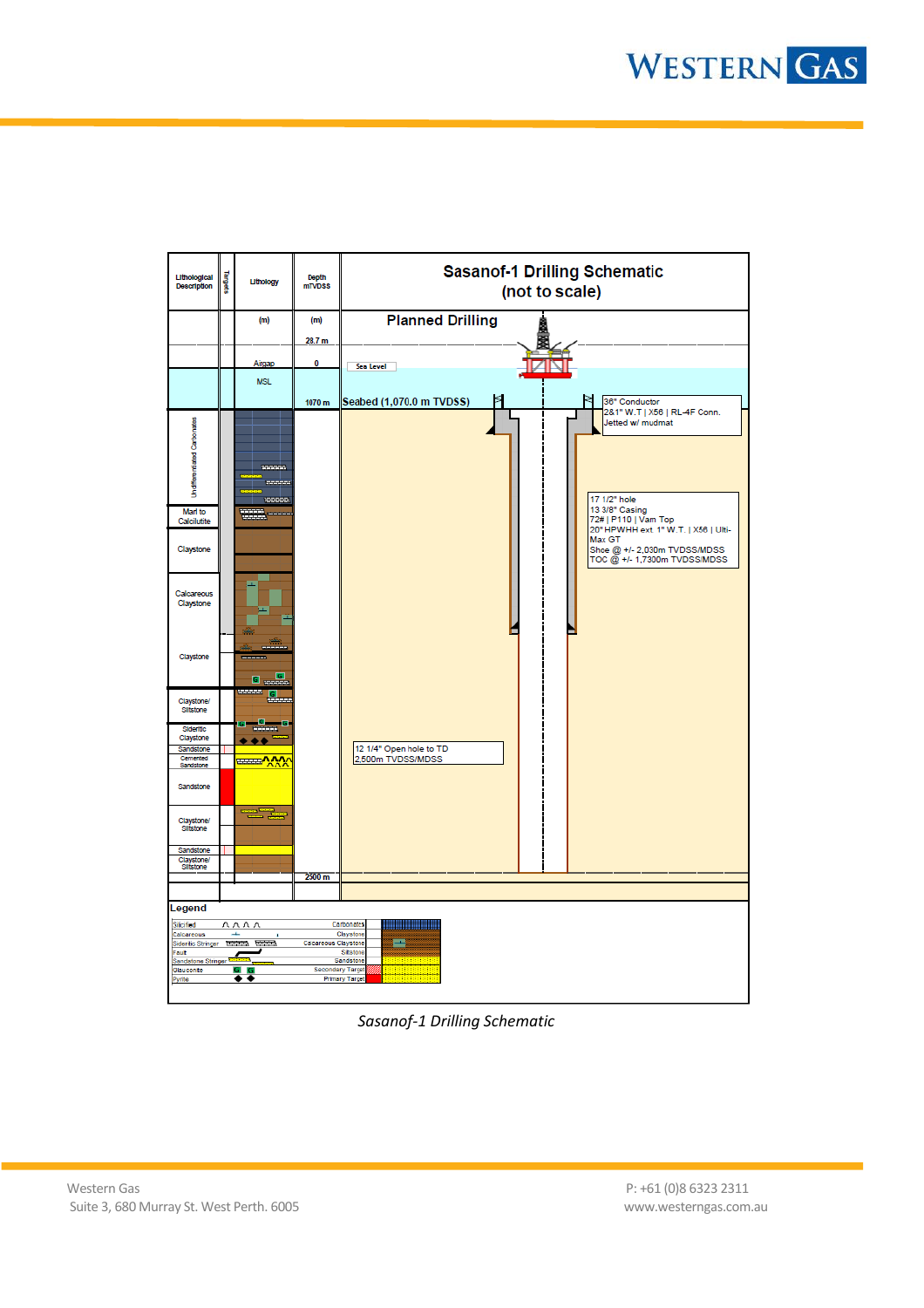

*Sasanof-1 Drilling Schematic*